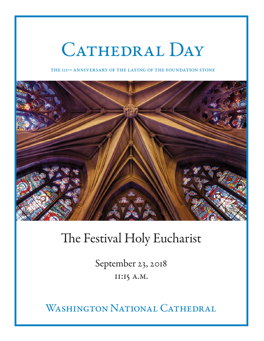# CATHEDRAL DAY

the 111th anniversary of the laying of the foundation stone



# The Festival Holy Eucharist

September 23, 2018 11:15 a.m.

WASHINGTON NATIONAL CATHEDRAL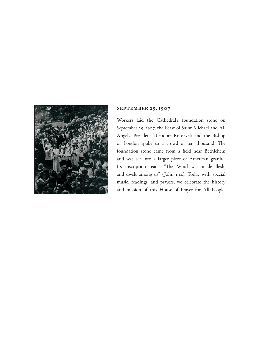

## september 29, 1907

Workers laid the Cathedral's foundation stone on September 29, 1907, the Feast of Saint Michael and All Angels. President Theodore Roosevelt and the Bishop of London spoke to a crowd of ten thousand. The foundation stone came from a field near Bethlehem and was set into a larger piece of American granite. Its inscription reads: "The Word was made flesh, and dwelt among us" (John 1:14). Today with special music, readings, and prayers, we celebrate the history and mission of this House of Prayer for All People.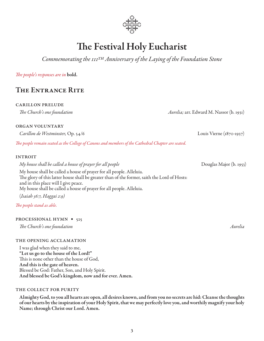

3

# The Festival Holy Eucharist

*Commemorating the 111thAnniversary of the Laying of the Foundation Stone*

*The people's responses are in* bold.

## The Entrance Rite

#### carillon prelude

*The Church's one foundation Aurelia;* arr. Edward M. Nassor (b. 1931)

#### organ voluntary

*Carillon de Westminster,* Op. 54/6 Louis Vierne (1870-1937)

*The people remain seated as the College of Canons and members of the Cathedral Chapter are seated.* 

#### **INTROIT**

*My house shall be called a house of prayer for all people* Douglas Major (b. 1953) My house shall be called a house of prayer for all people. Alleluia. The glory of this latter house shall be greater than of the former, saith the Lord of Hosts: and in this place will I give peace. My house shall be called a house of prayer for all people. Alleluia. (*Isaiah 56:7, Haggai 2:9)*

*The people stand as able.* 

#### PROCESSIONAL HYMN • 525

*The Church's one foundation Aurelia*

## the opening acclamation

I was glad when they said to me, "Let us go to the house of the Lord!" This is none other than the house of God, And this is the gate of heaven. Blessed be God: Father, Son, and Holy Spirit. And blessed be God's kingdom, now and for ever. Amen.

## the collect for purity

Almighty God, to you all hearts are open, all desires known, and from you no secrets are hid: Cleanse the thoughts of our hearts by the inspiration of your Holy Spirit, that we may perfectly love you, and worthily magnify your holy Name; through Christ our Lord. Amen.

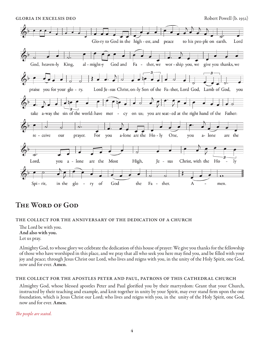gloria in excelsis deo Robert Powell (b. 1932)



## THE WORD OF GOD

#### the collect for the anniversary of the dedication of a church

The Lord be with you. And also with you. Let us pray.

Almighty God, to whose glory we celebrate the dedication of this house of prayer: We give you thanks for the fellowship of those who have worshiped in this place, and we pray that all who seek you here may find you, and be filled with your joy and peace; through Jesus Christ our Lord, who lives and reigns with you, in the unity of the Holy Spirit, one God, now and for ever. Amen.

#### the collect for the apostles peter and paul, patrons of this cathedral church

Almighty God, whose blessed apostles Peter and Paul glorified you by their martyrdom: Grant that your Church, instructed by their teaching and example, and knit together in unity by your Spirit, may ever stand firm upon the one foundation, which is Jesus Christ our Lord; who lives and reigns with you, in the unity of the Holy Spirit, one God, now and for ever. Amen.

*The people are seated.*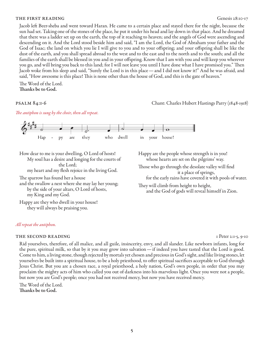#### THE FIRST READING GENESIS 28:10-17

Jacob left Beer-sheba and went toward Haran. He came to a certain place and stayed there for the night, because the sun had set. Taking one of the stones of the place, he put it under his head and lay down in that place. And he dreamed that there was a ladder set up on the earth, the top of it reaching to heaven; and the angels of God were ascending and descending on it. And the Lord stood beside him and said, "I am the Lord, the God of Abraham your father and the God of Isaac; the land on which you lie I will give to you and to your offspring; and your offspring shall be like the dust of the earth, and you shall spread abroad to the west and to the east and to the north and to the south; and all the families of the earth shall be blessed in you and in your offspring. Know that I am with you and will keep you wherever you go, and will bring you back to this land; for I will not leave you until I have done what I have promised you." Then Jacob woke from his sleep and said, "Surely the Lord is in this place—and I did not know it!" And he was afraid, and said, "How awesome is this place! This is none other than the house of God, and this is the gate of heaven."

The Word of the Lord. Thanks be to God.

psalm 84:1-6 Chant: Charles Hubert Hastings Parry (1848-1918)

Happy are the people whose strength is in you! whose hearts are set on the pilgrims' way. Those who go through the desolate valley will find

They will climb from height to height,

 it a place of springs, for the early rains have covered it with pools of water.

and the God of gods will reveal himself in Zion.



How dear to me is your dwelling, O Lord of hosts! My soul has a desire and longing for the courts of the Lord;

my heart and my flesh rejoice in the living God.

The sparrow has found her a house

*The antiphon is sung by the choir, then all repeat.* 

and the swallow a nest where she may lay her young; by the side of your altars, O Lord of hosts, my King and my God.

Happy are they who dwell in your house! they will always be praising you.

*All repeat the antiphon.*

#### THE SECOND READING 1 Peter 2:1-5, 9-10

Rid yourselves, therefore, of all malice, and all guile, insincerity, envy, and all slander. Like newborn infants, long for the pure, spiritual milk, so that by it you may grow into salvation—if indeed you have tasted that the Lord is good. Come to him, a living stone, though rejected by mortals yet chosen and precious in God's sight, and like living stones, let yourselves be built into a spiritual house, to be a holy priesthood, to offer spiritual sacrifices acceptable to God through Jesus Christ. But you are a chosen race, a royal priesthood, a holy nation, God's own people, in order that you may proclaim the mighty acts of him who called you out of darkness into his marvelous light. Once you were not a people, but now you are God's people; once you had not received mercy, but now you have received mercy.

The Word of the Lord. Thanks be to God.

5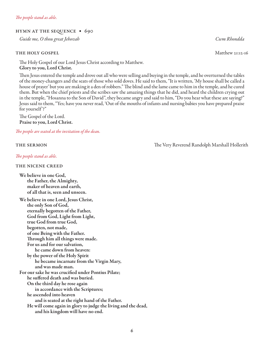#### hymn at the sequence • 690

*Guide me, O thou great Jehovah Cwm Rhondda* 

#### THE HOLY GOSPEL Matthew 21:12-16

The Holy Gospel of our Lord Jesus Christ according to Matthew. Glory to you, Lord Christ.

Then Jesus entered the temple and drove out all who were selling and buying in the temple, and he overturned the tables of the money-changers and the seats of those who sold doves. He said to them, "It is written, 'My house shall be called a house of prayer' but you are making it a den of robbers." The blind and the lame came to him in the temple, and he cured them. But when the chief priests and the scribes saw the amazing things that he did, and heard the children crying out in the temple, "Hosanna to the Son of David", they became angry and said to him, "Do you hear what these are saying?" Jesus said to them, "Yes; have you never read, 'Out of the mouths of infants and nursing babies you have prepared praise for yourself'?"

The Gospel of the Lord. Praise to you, Lord Christ.

*The people are seated at the invitation of the dean.*

*The people stand as able.*

the nicene creed

We believe in one God, the Father, the Almighty, maker of heaven and earth, of all that is, seen and unseen.

We believe in one Lord, Jesus Christ, the only Son of God, eternally begotten of the Father, God from God, Light from Light, true God from true God, begotten, not made, of one Being with the Father. Through him all things were made. For us and for our salvation, he came down from heaven: by the power of the Holy Spirit he became incarnate from the Virgin Mary, and was made man. For our sake he was crucified under Pontius Pilate; he suffered death and was buried. On the third day he rose again in accordance with the Scriptures; he ascended into heaven and is seated at the right hand of the Father. He will come again in glory to judge the living and the dead, and his kingdom will have no end.

the sermon The Very Reverend Randolph Marshall Hollerith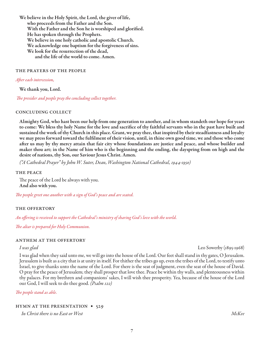We believe in the Holy Spirit, the Lord, the giver of life, who proceeds from the Father and the Son. With the Father and the Son he is worshiped and glorified. He has spoken through the Prophets. We believe in one holy catholic and apostolic Church. We acknowledge one baptism for the forgiveness of sins. We look for the resurrection of the dead, and the life of the world to come. Amen.

#### the prayers of the people

#### *After each intercession,*

We thank you, Lord.

 *The presider and people pray the concluding collect together.*

#### concluding collect

Almighty God, who hast been our help from one generation to another, and in whom standeth our hope for years to come: We bless thy holy Name for the love and sacrifice of thy faithful servants who in the past have built and sustained the work of thy Church in this place. Grant, we pray thee, that inspired by their steadfastness and loyalty we may press forward toward the fulfilment of their vision, until, in thine own good time, we and those who come after us may by thy mercy attain that fair city whose foundations are justice and peace, and whose builder and maker thou art; in the Name of him who is the beginning and the ending, the dayspring from on high and the desire of nations, thy Son, our Saviour Jesus Christ. Amen.

*("A Cathedral Prayer" by John W. Suter, Dean, Washington National Cathedral, 1944-1950)*

#### the peace

The peace of the Lord be always with you. And also with you.

*The people greet one another with a sign of God's peace and are seated.*

#### THE OFFERTORY

*An offering is received to support the Cathedral's ministry of sharing God's love with the world.*

*The altar is prepared for Holy Communion.*

#### anthem at the offertory

I was glad when they said unto me, we will go into the house of the Lord. Our feet shall stand in thy gates, O Jerusalem. Jerusalem is built as a city that is at unity in itself. For thither the tribes go up, even the tribes of the Lord, to testify unto Israel, to give thanks unto the name of the Lord. For there is the seat of judgment, even the seat of the house of David. O pray for the peace of Jerusalem; they shall prosper that love thee. Peace be within thy walls, and plenteousness within thy palaces. For my brethren and companions' sakes, I will wish thee prosperity. Yea, because of the house of the Lord our God, I will seek to do thee good. *(Psalm 122)*

*The people stand as able.*

#### hymn at the presentation • 529

 *In Christ there is no East or West McKee* 

#### *I was glad* Leo Sowerby (1895-1968)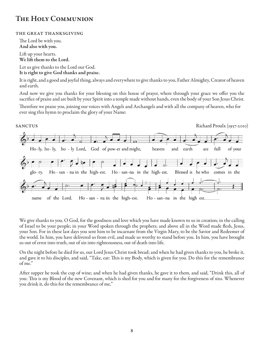# The Holy Communion

#### the great thanksgiving

The Lord be with you. And also with you.

Lift up your hearts. We lift them to the Lord.

Let us give thanks to the Lord our God. It is right to give God thanks and praise.

It is right, and a good and joyful thing, always and everywhere to give thanks to you, Father Almighty, Creator of heaven and earth.

And now we give you thanks for your blessing on this house of prayer, where through your grace we offer you the sacrifice of praise and are built by your Spirit into a temple made without hands, even the body of your Son Jesus Christ.

Therefore we praise you, joining our voices with Angels and Archangels and with all the company of heaven, who for ever sing this hymn to proclaim the glory of your Name:



We give thanks to you, O God, for the goodness and love which you have made known to us in creation; in the calling of Israel to be your people; in your Word spoken through the prophets; and above all in the Word made flesh, Jesus, your Son. For in these last days you sent him to be incarnate from the Virgin Mary, to be the Savior and Redeemer of the world. In him, you have delivered us from evil, and made us worthy to stand before you. In him, you have brought us out of error into truth, out of sin into righteousness, out of death into life.

On the night before he died for us, our Lord Jesus Christ took bread; and when he had given thanks to you, he broke it, and gave it to his disciples, and said, "Take, eat: This is my Body, which is given for you. Do this for the remembrance of me."

After supper he took the cup of wine; and when he had given thanks, he gave it to them, and said, "Drink this, all of you: This is my Blood of the new Covenant, which is shed for you and for many for the forgiveness of sins. Whenever you drink it, do this for the remembrance of me."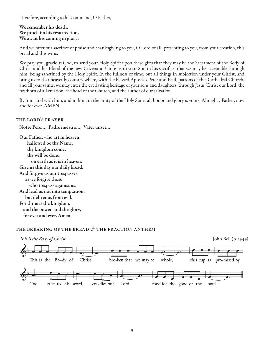Therefore, according to his command, O Father,

#### We remember his death, We proclaim his resurrection, We await his coming in glory;

And we offer our sacrifice of praise and thanksgiving to you, O Lord of all; presenting to you, from your creation, this bread and this wine.

We pray you, gracious God, to send your Holy Spirit upon these gifts that they may be the Sacrament of the Body of Christ and his Blood of the new Covenant. Unite us to your Son in his sacrifice, that we may be acceptable through him, being sanctified by the Holy Spirit. In the fullness of time, put all things in subjection under your Christ, and bring us to that heavenly country where, with the blessed Apostles Peter and Paul, patrons of this Cathedral Church, and all your saints, we may enter the everlasting heritage of your sons and daughters; through Jesus Christ our Lord, the firstborn of all creation, the head of the Church, and the author of our salvation.

By him, and with him, and in him, in the unity of the Holy Spirit all honor and glory is yours, Almighty Father, now and for ever. AMEN.

#### the lord's prayer

Notre Père…, Padre nuestro…, Vater unser…,

Our Father, who art in heaven, hallowed be thy Name, thy kingdom come, thy will be done, on earth as it is in heaven. Give us this day our daily bread. And forgive us our trespasses, as we forgive those who trespass against us. And lead us not into temptation, but deliver us from evil. For thine is the kingdom, and the power, and the glory, for ever and ever. Amen.

#### the breaking of the bread *&* the fraction anthem

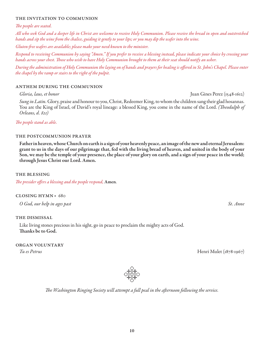#### the invitation to communion

#### *The people are seated.*

*All who seek God and a deeper life in Christ are welcome to receive Holy Communion. Please receive the bread in open and outstretched hands and sip the wine from the chalice, guiding it gently to your lips; or you may dip the wafer into the wine.* 

*Gluten-free wafers are available; please make your need known to the minister.* 

*Respond to receiving Communion by saying "Amen." If you prefer to receive a blessing instead, please indicate your choice by crossing your hands across your chest. Those who wish to have Holy Communion brought to them at their seat should notify an usher.* 

*During the administration of Holy Communion the laying on of hands and prayers for healing is offered in St. John's Chapel. Please enter the chapel by the ramp or stairs to the right of the pulpit.*

#### anthem during the communion

*Sung in Latin.* Glory, praise and honour to you, Christ, Redeemer King, to whom the children sang their glad hosannas. You are the King of Israel, of David's royal lineage: a blessed King, you come in the name of the Lord. *(Theodulph of Orleans, d. 821)*

#### *The people stand as able.*

#### the postcommunion prayer

Father in heaven, whose Church on earth is a sign of your heavenly peace, an image of the new and eternal Jerusalem: grant to us in the days of our pilgrimage that, fed with the living bread of heaven, and united in the body of your Son, we may be the temple of your presence, the place of your glory on earth, and a sign of your peace in the world; through Jesus Christ our Lord. Amen.

#### the blessing

*The presider offers a blessing and the people respond,* Amen*.*

#### closing hymn • 680

*O God, our help in ages past St. Anne*

#### the dismissal

Like living stones precious in his sight, go in peace to proclaim the mighty acts of God. Thanks be to God.

#### organ voluntary

*Tu es Petrus* Henri Mulet (1878-1967)



*The Washington Ringing Society will attempt a full peal in the afternoon following the service.* 

#### 10

*Gloria, laus, et honor* Juan Gines Perez (1548-1612)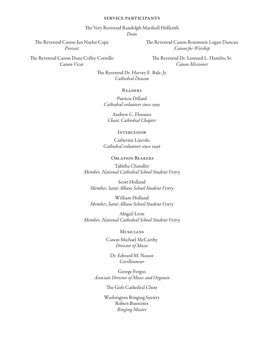#### service participants

The Very Reverend Randolph Marshall Hollerith

*Dean* 

The Reverend Canon Jan Naylor Cope *Provost*

The Reverend Canon Rosemarie Logan Duncan *Canon for Worship*

The Reverend Canon Dana Colley Corsello *Canon Vicar*

The Reverend Dr. Leonard L. Hamlin, Sr. *Canon Missioner*

The Reverend Dr. Harvey E. Bale, Jr. *Cathedral Deacon* 

#### **READERS**

Patricia Dillard *Cathedral volunteer since* 1991

Andrew C. Florance *Chair, Cathedral Chapter*

#### **INTERCESSOR**

Catherine Lincoln *Cathedral volunteer since* 1996

#### OBLATION BEARERS

Tabitha Chandler *Member, National Cathedral School Student Vestry* 

Scott Holland *Member, Saint Albans School Student Vestry*

William Holland *Member, Saint Albans School Student Vestry*

Abigail Leon *Member, National Cathedral School Student Vestry*

#### **MUSICIANS**

Canon Michael McCarthy *Director of Music*

Dr. Edward M. Nassor *Carillonneur* 

George Fergus *Associate Director of Music and Organist* 

#### The Girls Cathedral Choir

Washington Ringing Society Robert Bannister *Ringing Master*